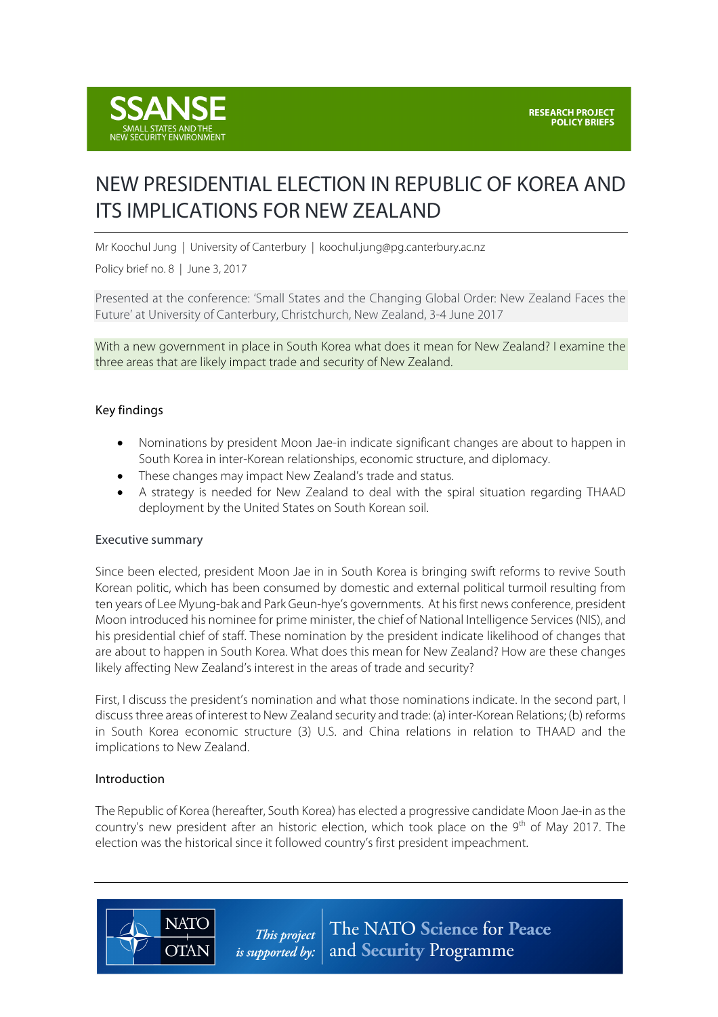

# NEW PRESIDENTIAL ELECTION IN REPUBLIC OF KOREA AND ITS IMPLICATIONS FOR NEW ZEALAND

Mr Koochul Jung | University of Canterbury | koochul.jung@pg.canterbury.ac.nz

Policy brief no. 8 | June 3, 2017

Presented at the conference: 'Small States and the Changing Global Order: New Zealand Faces the Future' at University of Canterbury, Christchurch, New Zealand, 3-4 June 2017

With a new government in place in South Korea what does it mean for New Zealand? I examine the three areas that are likely impact trade and security of New Zealand.

## Key findings

- Nominations by president Moon Jae-in indicate significant changes are about to happen in South Korea in inter-Korean relationships, economic structure, and diplomacy.
- These changes may impact New Zealand's trade and status.
- A strategy is needed for New Zealand to deal with the spiral situation regarding THAAD deployment by the United States on South Korean soil.

#### Executive summary

Since been elected, president Moon Jae in in South Korea is bringing swift reforms to revive South Korean politic, which has been consumed by domestic and external political turmoil resulting from ten years of Lee Myung-bak and Park Geun-hye's governments. At his first news conference, president Moon introduced his nominee for prime minister, the chief of National Intelligence Services (NIS), and his presidential chief of staff. These nomination by the president indicate likelihood of changes that are about to happen in South Korea. What does this mean for New Zealand? How are these changes likely affecting New Zealand's interest in the areas of trade and security?

First, I discuss the president's nomination and what those nominations indicate. In the second part, I discussthree areas of interest to New Zealand security and trade: (a) inter-Korean Relations; (b) reforms in South Korea economic structure (3) U.S. and China relations in relation to THAAD and the implications to New Zealand.

#### Introduction

**NATO** 

**OTAN** 

The Republic of Korea (hereafter, South Korea) has elected a progressive candidate Moon Jae-in as the country's new president after an historic election, which took place on the  $9<sup>th</sup>$  of May 2017. The election was the historical since it followed country's first president impeachment.

> The NATO Science for Peace This project is supported by: and Security Programme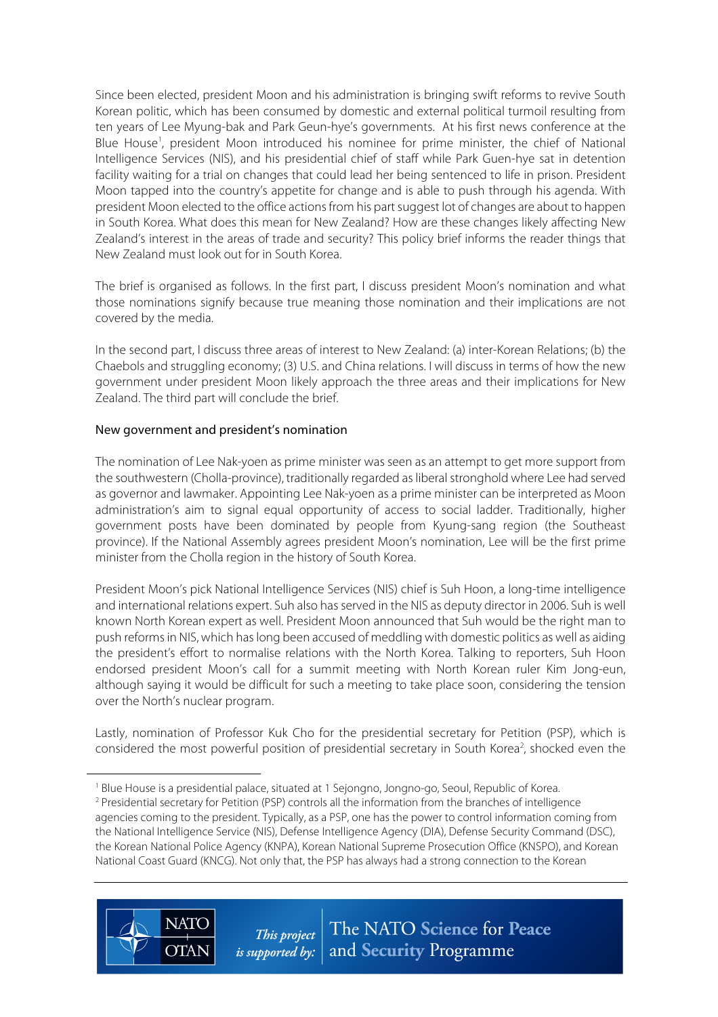Since been elected, president Moon and his administration is bringing swift reforms to revive South Korean politic, which has been consumed by domestic and external political turmoil resulting from ten years of Lee Myung-bak and Park Geun-hye's governments. At his first news conference at the Blue House<sup>1</sup>, president Moon introduced his nominee for prime minister, the chief of National Intelligence Services (NIS), and his presidential chief of staff while Park Guen-hye sat in detention facility waiting for a trial on changes that could lead her being sentenced to life in prison. President Moon tapped into the country's appetite for change and is able to push through his agenda. With president Moon elected to the office actions from his partsuggest lot of changes are about to happen in South Korea. What does this mean for New Zealand? How are these changes likely affecting New Zealand's interest in the areas of trade and security? This policy brief informs the reader things that New Zealand must look out for in South Korea.

The brief is organised as follows. In the first part, I discuss president Moon's nomination and what those nominations signify because true meaning those nomination and their implications are not covered by the media.

In the second part, I discuss three areas of interest to New Zealand: (a) inter-Korean Relations; (b) the Chaebols and struggling economy; (3) U.S. and China relations. I will discuss in terms of how the new government under president Moon likely approach the three areas and their implications for New Zealand. The third part will conclude the brief.

## New government and president's nomination

 $\overline{a}$ 

**NATC** 

**OTAN** 

The nomination of Lee Nak-yoen as prime minister was seen as an attempt to get more support from the southwestern (Cholla-province), traditionally regarded as liberal stronghold where Lee had served as governor and lawmaker. Appointing Lee Nak-yoen as a prime minister can be interpreted as Moon administration's aim to signal equal opportunity of access to social ladder. Traditionally, higher government posts have been dominated by people from Kyung-sang region (the Southeast province). If the National Assembly agrees president Moon's nomination, Lee will be the first prime minister from the Cholla region in the history of South Korea.

President Moon's pick National Intelligence Services (NIS) chief is Suh Hoon, a long-time intelligence and international relations expert. Suh also has served in the NIS as deputy director in 2006. Suh is well known North Korean expert as well. President Moon announced that Suh would be the right man to push reformsin NIS, which haslong been accused of meddling with domestic politics as well as aiding the president's effort to normalise relations with the North Korea. Talking to reporters, Suh Hoon endorsed president Moon's call for a summit meeting with North Korean ruler Kim Jong-eun, although saying it would be difficult for such a meeting to take place soon, considering the tension over the North's nuclear program.

Lastly, nomination of Professor Kuk Cho for the presidential secretary for Petition (PSP), which is considered the most powerful position of presidential secretary in South Korea<sup>2</sup>, shocked even the

<sup>&</sup>lt;sup>1</sup> Blue House is a presidential palace, situated at 1 Sejongno, Jongno-go, Seoul, Republic of Korea. <sup>2</sup> Presidential secretary for Petition (PSP) controls all the information from the branches of intelligence agencies coming to the president. Typically, as a PSP, one has the power to control information coming from the National Intelligence Service (NIS), Defense Intelligence Agency (DIA), Defense Security Command (DSC), the Korean National Police Agency (KNPA), Korean National Supreme Prosecution Office (KNSPO), and Korean National Coast Guard (KNCG). Not only that, the PSP has always had a strong connection to the Korean

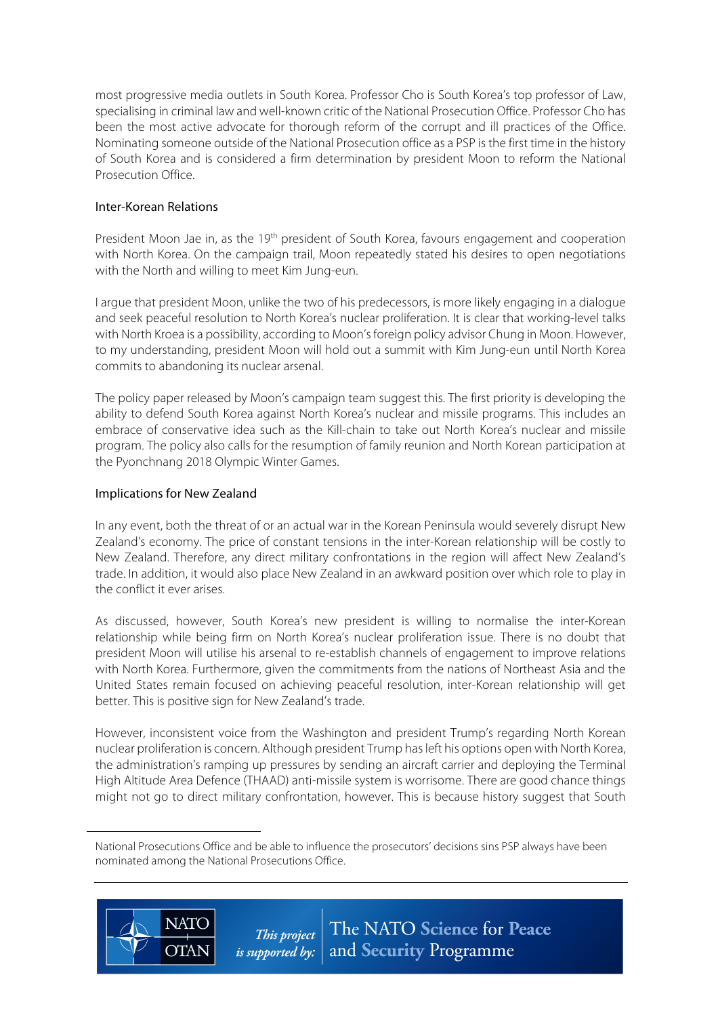most progressive media outlets in South Korea. Professor Cho is South Korea's top professor of Law, specialising in criminal law and well-known critic of the National Prosecution Office. Professor Cho has been the most active advocate for thorough reform of the corrupt and ill practices of the Office. Nominating someone outside of the National Prosecution office as a PSP is the first time in the history of South Korea and is considered a firm determination by president Moon to reform the National Prosecution Office.

# Inter-Korean Relations

President Moon Jae in, as the 19<sup>th</sup> president of South Korea, favours engagement and cooperation with North Korea. On the campaign trail, Moon repeatedly stated his desires to open negotiations with the North and willing to meet Kim Jung-eun.

I argue that president Moon, unlike the two of his predecessors, is more likely engaging in a dialogue and seek peaceful resolution to North Korea's nuclear proliferation. It is clear that working-level talks with North Kroea is a possibility, according to Moon's foreign policy advisor Chung in Moon. However, to my understanding, president Moon will hold out a summit with Kim Jung-eun until North Korea commits to abandoning its nuclear arsenal.

The policy paper released by Moon's campaign team suggest this. The first priority is developing the ability to defend South Korea against North Korea's nuclear and missile programs. This includes an embrace of conservative idea such as the Kill-chain to take out North Korea's nuclear and missile program. The policy also calls for the resumption of family reunion and North Korean participation at the Pyonchnang 2018 Olympic Winter Games.

# Implications for New Zealand

In any event, both the threat of or an actual war in the Korean Peninsula would severely disrupt New Zealand's economy. The price of constant tensions in the inter-Korean relationship will be costly to New Zealand. Therefore, any direct military confrontations in the region will affect New Zealand's trade. In addition, it would also place New Zealand in an awkward position over which role to play in the conflict it ever arises.

As discussed, however, South Korea's new president is willing to normalise the inter-Korean relationship while being firm on North Korea's nuclear proliferation issue. There is no doubt that president Moon will utilise his arsenal to re-establish channels of engagement to improve relations with North Korea. Furthermore, given the commitments from the nations of Northeast Asia and the United States remain focused on achieving peaceful resolution, inter-Korean relationship will get better. This is positive sign for New Zealand's trade.

However, inconsistent voice from the Washington and president Trump's regarding North Korean nuclear proliferation is concern. Although president Trump hasleft his options open with North Korea, the administration's ramping up pressures by sending an aircraft carrier and deploying the Terminal High Altitude Area Defence (THAAD) anti-missile system is worrisome. There are good chance things might not go to direct military confrontation, however. This is because history suggest that South

National Prosecutions Office and be able to influence the prosecutors' decisions sins PSP always have been nominated among the National Prosecutions Office.



 $\overline{a}$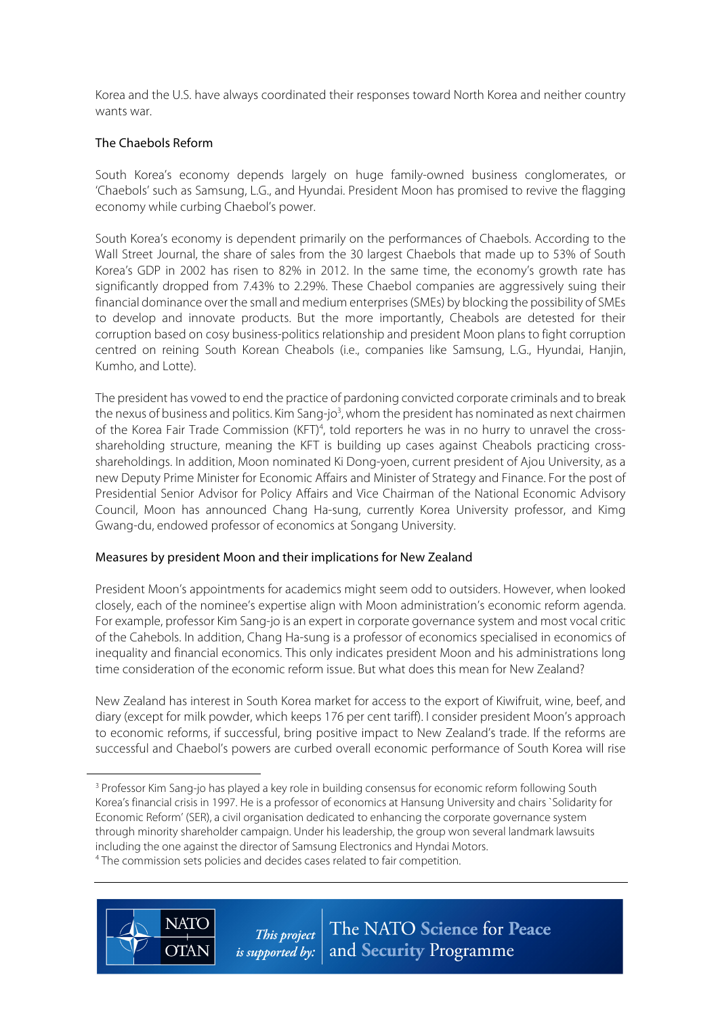Korea and the U.S. have always coordinated their responses toward North Korea and neither country wants war.

## The Chaebols Reform

 $\overline{a}$ 

South Korea's economy depends largely on huge family-owned business conglomerates, or 'Chaebols' such as Samsung, L.G., and Hyundai. President Moon has promised to revive the flagging economy while curbing Chaebol's power.

South Korea's economy is dependent primarily on the performances of Chaebols. According to the Wall Street Journal, the share of sales from the 30 largest Chaebols that made up to 53% of South Korea's GDP in 2002 has risen to 82% in 2012. In the same time, the economy's growth rate has significantly dropped from 7.43% to 2.29%. These Chaebol companies are aggressively suing their financial dominance over the small and medium enterprises(SMEs) by blocking the possibility of SMEs to develop and innovate products. But the more importantly, Cheabols are detested for their corruption based on cosy business-politics relationship and president Moon plans to fight corruption centred on reining South Korean Cheabols (i.e., companies like Samsung, L.G., Hyundai, Hanjin, Kumho, and Lotte).

The president has vowed to end the practice of pardoning convicted corporate criminals and to break the nexus of business and politics. Kim Sang-jo<sup>3</sup>, whom the president has nominated as next chairmen of the Korea Fair Trade Commission (KFT)<sup>4</sup>, told reporters he was in no hurry to unravel the crossshareholding structure, meaning the KFT is building up cases against Cheabols practicing crossshareholdings. In addition, Moon nominated Ki Dong-yoen, current president of Ajou University, as a new Deputy Prime Minister for Economic Affairs and Minister of Strategy and Finance. For the post of Presidential Senior Advisor for Policy Affairs and Vice Chairman of the National Economic Advisory Council, Moon has announced Chang Ha-sung, currently Korea University professor, and Kimg Gwang-du, endowed professor of economics at Songang University.

## Measures by president Moon and their implications for New Zealand

President Moon's appointments for academics might seem odd to outsiders. However, when looked closely, each of the nominee's expertise align with Moon administration's economic reform agenda. For example, professor Kim Sang-jo is an expert in corporate governance system and most vocal critic of the Cahebols. In addition, Chang Ha-sung is a professor of economics specialised in economics of inequality and financial economics. This only indicates president Moon and his administrations long time consideration of the economic reform issue. But what does this mean for New Zealand?

New Zealand has interest in South Korea market for access to the export of Kiwifruit, wine, beef, and diary (except for milk powder, which keeps 176 per cent tariff). I consider president Moon's approach to economic reforms, if successful, bring positive impact to New Zealand's trade. If the reforms are successful and Chaebol's powers are curbed overall economic performance of South Korea will rise

**NATC** 

**OTAN** 



<sup>&</sup>lt;sup>3</sup> Professor Kim Sang-jo has played a key role in building consensus for economic reform following South Korea's financial crisis in 1997. He is a professor of economics at Hansung University and chairs `Solidarity for Economic Reform' (SER), a civil organisation dedicated to enhancing the corporate governance system through minority shareholder campaign. Under his leadership, the group won several landmark lawsuits including the one against the director of Samsung Electronics and Hyndai Motors.

<sup>&</sup>lt;sup>4</sup> The commission sets policies and decides cases related to fair competition.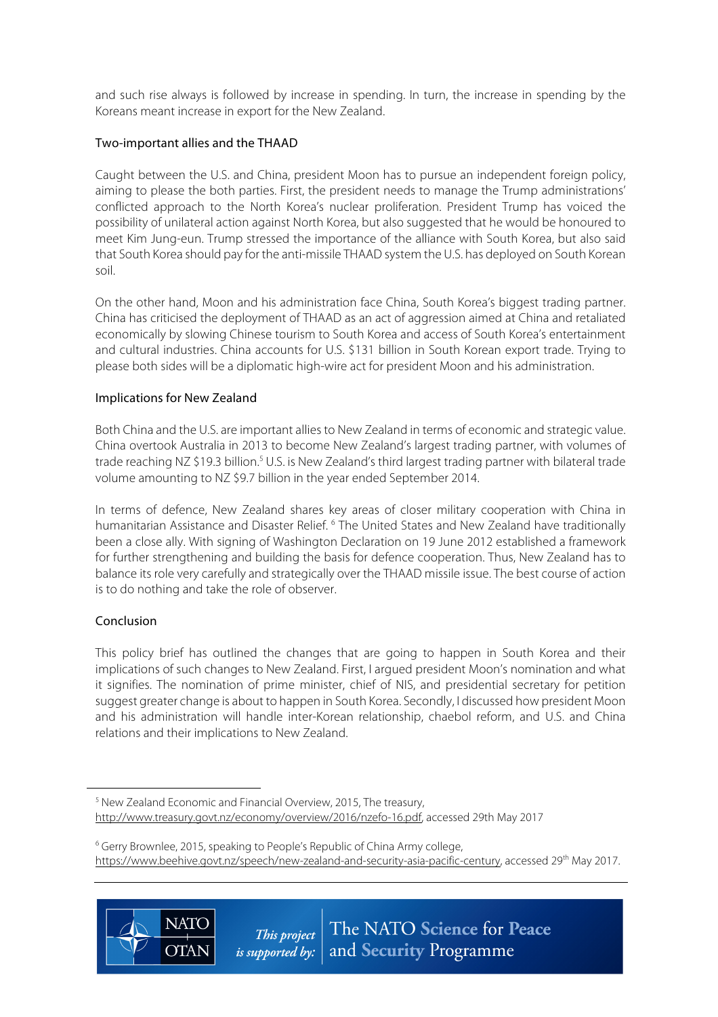and such rise always is followed by increase in spending. In turn, the increase in spending by the Koreans meant increase in export for the New Zealand.

# Two-important allies and the THAAD

Caught between the U.S. and China, president Moon has to pursue an independent foreign policy, aiming to please the both parties. First, the president needs to manage the Trump administrations' conflicted approach to the North Korea's nuclear proliferation. President Trump has voiced the possibility of unilateral action against North Korea, but also suggested that he would be honoured to meet Kim Jung-eun. Trump stressed the importance of the alliance with South Korea, but also said that South Korea should pay for the anti-missile THAAD system the U.S. has deployed on South Korean soil.

On the other hand, Moon and his administration face China, South Korea's biggest trading partner. China has criticised the deployment of THAAD as an act of aggression aimed at China and retaliated economically by slowing Chinese tourism to South Korea and access of South Korea's entertainment and cultural industries. China accounts for U.S. \$131 billion in South Korean export trade. Trying to please both sides will be a diplomatic high-wire act for president Moon and his administration.

# Implications for New Zealand

**NATO** 

**OTAN** 

Both China and the U.S. are important allies to New Zealand in terms of economic and strategic value. China overtook Australia in 2013 to become New Zealand's largest trading partner, with volumes of trade reaching NZ \$19.3 billion.<sup>5</sup> U.S. is New Zealand's third largest trading partner with bilateral trade volume amounting to NZ \$9.7 billion in the year ended September 2014.

In terms of defence, New Zealand shares key areas of closer military cooperation with China in humanitarian Assistance and Disaster Relief. <sup>6</sup> The United States and New Zealand have traditionally been a close ally. With signing of Washington Declaration on 19 June 2012 established a framework for further strengthening and building the basis for defence cooperation. Thus, New Zealand has to balance its role very carefully and strategically over the THAAD missile issue. The best course of action is to do nothing and take the role of observer.

## Conclusion

 $\overline{a}$ 

This policy brief has outlined the changes that are going to happen in South Korea and their implications of such changes to New Zealand. First, I argued president Moon's nomination and what it signifies. The nomination of prime minister, chief of NIS, and presidential secretary for petition suggest greater change is about to happen in South Korea. Secondly, I discussed how president Moon and his administration will handle inter-Korean relationship, chaebol reform, and U.S. and China relations and their implications to New Zealand.

<sup>&</sup>lt;sup>6</sup> Gerry Brownlee, 2015, speaking to People's Republic of China Army college, https://www.beehive.govt.nz/speech/new-zealand-and-security-asia-pacific-century, accessed 29<sup>th</sup> May 2017.



<sup>5</sup> New Zealand Economic and Financial Overview, 2015, The treasury, http://www.treasury.govt.nz/economy/overview/2016/nzefo-16.pdf, accessed 29th May 2017